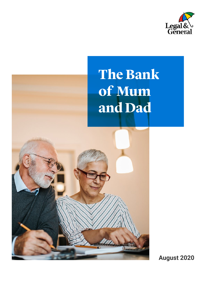

### **The Bank of Mum and Dad**



**August 2020**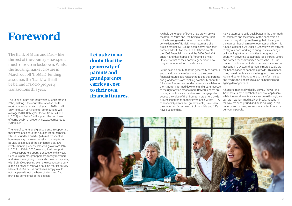# **Foreword**

The Bank of Mum and Dad – like the rest of the country – has spent much of 2020 in lockdown. Whilst the housing market closure in March cut off 'BoMaD' lending at source, the 'bank' will still be behind 175,000 property transactions this year.

The Bank of Mum and Dad typically lends around £6bn, making it the equivalent of a top ten UK mortgage lender in a typical year. In 2020, it will 'only' lend £3.49bn. Parental contributions will average £20,000 this year (down from £24,000 in 2019) and BoMaD will support the purchase of some £50bn of property in 2020, compared to £70bn in 2019.

The role of parents and grandparents in supporting their loved ones onto the housing ladder remains vital. Just under a quarter (24%) of prospective borrowers say they're more reliant on help from BoMaD as a result of the pandemic. BoMaD's involvement in property sales will grow from 19% in 2019 to 23% in 2020, meaning it will support 174,982 separate property transactions this year. Generous parents, grandparents, family members and friends are gifting thousands towards deposits, with BoMaD outpacing even the recent stamp duty cuts as a driver of renewed housing market activity. Many of 2020's house purchases simply would not happen without the Bank of Mum and Dad providing some or all of the deposit.

**Let us be in no doubt that the generosity of parents and grandparents carries a cost to their own fnancial futures.**  A whole generation of buyers has grown up with the Bank of Mum and Dad being a 'normal' part of the housing market, when of course, the very existence of BoMaD is symptomatic of a broken market. Our young people have now been hammered with two 'once in a lifetime' events – the 2008 financial crisis and the 2020 Covid-19 crisis – and their hopes of affording a similar lifestyle to that of their parents' generation have long since receded into the distance.

Let us be in no doubt that the generosity of parents the beneficiaries of economic growth. This means and grandparents carries a cost to their own financial futures. It is reassuring to see that parents and grandparents are thinking holistically about the and towns, tackling issues such as housing and full suite of retirement funding avenues available to them. Better informed decisions and greater access to the right advice means more BoMaD lenders are A housing market divided by BoMaD 'haves' and looking at options such as lifetime mortgages to access the value of their homes in order to provide a 'living inheritance' to their loved ones. A fifth (21%) can start work immediately on breakthroughs in of 'lenders' (parents and grandparents) have seen their incomes fall as a result of the crisis and 12% have cut spending. using investments as a force for good – to create jobs and better infrastructure to transform cities ageing demographics. 'have nots' is not a symbol of inclusive capitalism. While the world awaits a vaccine breakthrough, we the way we supply, fund and build housing in this country, and in doing so, secure a better future for our young people.



As we attempt to build back better in the aftermath of lockdown and the impact of the pandemic on the economy, disruptive thinking that challenges the way our housing market operates and how it is funded is needed. At Legal & General we are striving to play our part, working to bring positive change by investing in towns and cities throughout the country – delivering sustainable jobs, infrastructure and homes for communities across the UK. Our model of inclusive capitalism demands a focus on investing in a system that means more people are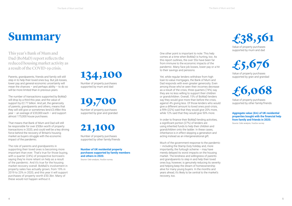# **Summary**

This year's Bank of Mum and Dad (BoMaD) report refects the reduced housing market activity as a result of the COVID-19 crisis.

Parents, grandparents, friends and family will still step in to help their loved ones buy. But job losses, lower pay and general economic uncertainty will mean the chances  $-$  and perhaps ability  $-$  to do so will be more limited than in previous years.

The number of transactions supported by BoMaD will drop by a third this year, and the value of support by £2.77 billion. And yet, the generosity of parents, grandparents and others, means that they will still give or sometimes lend £3.49bn this year – an average of £20,000 each – and support almost 175,000 house purchases.

That means that Bank of Mum and Dad will still be responsible for over £50bn worth of property transactions in 2020, and could well be a key driving force behind the recovery of Britain's housing market as buyers struggle with the economic impact of the pandemic.

The role of parents and grandparents in supporting their loved ones is becoming more important than ever. That's true for those buying, with a quarter (24%) of prospective borrowers saying they're more reliant on help as a result of the pandemic. And it's true for the housing market recovery overall. BoMaD's involvement in property sales has actually grown, from 19% in 2019 to 23% in 2020, and this year it will support purchases of property worth £50.3bn. Many of these would not happen without it.

Yet, while regular lenders withdraw from high loan-to-value mortgages, the Bank of Mum and Dad responds with even greater generosity. Even among those who've seen their incomes decrease as a result of the crisis, three quarters (74%) say they are no less willing to support their children or grandchildren. Overall, 15% of BoMaD lenders say they would give more than before the crisis, against 4% giving less. Of those lenders who would give a different amount to loved ones post-crisis, a fifth (22%) said that they would give 20% more, while 12% said that they would give 50% more.

**134,100**  Number of property purchases

supported by mum and dad

**19,700**  Number of property purchases supported by gran and grandad

### **21,100**

Number of property purchases supported by other family/friends

#### **Number of UK residential property purchases supported by family members and others in 2020.**

Source: Cebr analysis, YouGov survey

One other point is important to note: This help comes at a time when BoMaD is hurting, too. As this report outlines, the over 55s have been far from immune to the economic impacts of the pandemic. Many face job losses, lower pay or a hit to their savings and pensions.

In order to finance their BoMaD lending activities, a significant portion (27%) of lenders are using inherited funds to help their children and grandchildren onto the ladder. In these cases, inheritance is in effect skipping a generation and acting instead as an intergenerational gift.

Much of the government response to the pandemic – including the Stamp Duty holiday and, more importantly, the furlough scheme – may have merely delayed its worst impacts on the housing market. The kindness and willingness of parents and grandparents to step in and help their loved ones buy, however, is genuinely reducing its severity and helping keep the dream of homeownership alive for many young buyers. In the months and years ahead, it's likely to be central to the market's recovery, too.



Value of property purchases supported by mum and dad

**£5,676** 

Value of property purchases supported by gran and grandad



Value of property purchases supported by other family/friends

**Aggregate value (£m) of UK residential properties bought with the financial help from family and friends in 2020.** 

Source: Cebr analysis, YouGov survey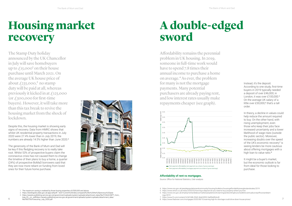

# **Housing market recovery**

## **A double-edged sword**

Afordability remains the perennial problem in UK housing. In 2019, someone in full-time work would have to spend 7.8 times their annual income to purchase a home on average.4 As ever, the problem for many is not the mortgage payments. Many potential purchasers are already paying rent, and low interest rates usually make repayments cheaper (see graph).

The Stamp Duty holiday announced by the UK Chancellor in July will save homebuyers up to  $\mathcal{L}$ 15,000<sup>1</sup> on their house purchase until March 2021. On the average UK house price of about  $\text{\textsterling}235,000,^2$  no stamp duty will be paid at all, whereas previously it kicked in at £125,000 (or  $\text{\textsterling}300,000$  for first-time buyers). However, it will take more than this tax break to revive the housing market from the shock of

signs of recovery. Data from HMRC shows that

Instead, it's the deposit. According to one study, first-time buyers in 2019 typically needed a deposit of over £46,000; in London, it was over £100,000.<sup>5</sup> On the average UK salary of a little over £30,000,<sup>6</sup> that's a tall order.

high loan to value ratio.<sup>8</sup>

root. Whilst 53% of prospective buyers claim the  $\frac{1}{3}$  or value  $\frac{1}{3}$  or  $\frac{1}{3}$  or  $\frac{1}{3}$  or  $\frac{1}{3}$ coronavirus crisis has not caused them to change the timeline of their plans to buy a home, a quarter (24%) of prospective BoMaD borrowers said that they are now more reliant on funding from loved ones for their future home purchase.





- 2. https://landregistry.data.gov.uk/app/ukhpi#:~:text=Current%20index,compared%20to%20the%20previous%20year.
- 3. https://assets.publishing.service.gov.uk/government/uploads/system/uploads/attachment\_data/file/910642/MPT\_Com\_
- Aug\_20\_\_cir\_.pdfhttps://assets.publishing.service.gov.uk/government/uploads/system/uploads/attachment\_data/ file/900759/Forecomp\_July\_2020.pdf

#### **Affordability of rent vs mortgages.**

Source: Office for National Statistics, Cebr analysis

but the economic outlook is far It might be a buyer's market,

- 4. https://www.ons.gov.uk/peoplepopulationandcommunity/housing/bulletins/housingaffordabilityinenglandandwales/2019
- 5. https://www.which.co.uk/news/2020/02/how-big-a-deposit-do-you-need-to-buy-property-where-you-live/
- 6. https://www.ons.gov.uk/employmentandlabourmarket/peopleinwork/earningsandworkinghours/bulletins/annualsurveyofhoursandearn
- ings/2019
- 7. https://www.ft.com/content/2c9d168b-99d2-46e8-8952-0a89bdf64cd0
- 8. https://www.ftadviser.com/mortgages/2020/08/10/warning-high-ltv-shortage-could-drive-down-house-prices/

<sup>1.</sup> The maximum saving is realised by those buying properties of £500,000 and above.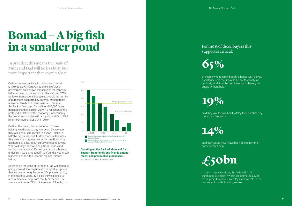# **Bomad – A big fish in a smaller pond**

In practice, this means the Bank of Mum and Dad will be less busy but more important than ever in 2020.

On the one hand, activity in the housing market is likely to slow. From April to the end of June, government data shows transactions fell by nearly half compared to the same months last year. 9 With far fewer transactions happening overall, the number of purchases supported by parents, grandparents and other family and friends will fall. This year, the Bank of Mum and Dad will fund 85,000 fewer transactions than it did in 2019 – a reflection of the profound hit taken by the economy. Consequently, the overall amount lent will fall by about 44% to £3.5 billion, compared to £6.3bn in 2019.

On the other hand, the contribution of those helping loved ones to buy is crucial. On average they will lend £20,000 each this year – close to half the typical deposit. Furthermore, of the sales that do occur a greater proportion are likely to be facilitated by gifts. In our survey of recent buyers, 23% said they'd received help from friends and family, compared to 19% last year. Among buyers under 35, it was almost half (49%), and it was much higher in London, too (see the regional picture, below).

said they would have had to delay their purchase by more than five years

Reliance on the Bank of Mum and Dad will continue going forward, too, regardless of any falls in prices that we see. Among the under 35s planning to buy in the next five years, 42% said they expected to receive financial help from family or friends. The same was true for 29% of those aged 35 to 44, too.



**Counting on the Bank of Mum and Dad: Support from family and friends among recent and prospective purchasers.**

Source: Cebr analysis, YouGov survey









### For m0st of these buyers this support is critical:



of people who recently bought a house with BoMaD assistance said that it would be not that likely, or not likely at all that the purchase would have gone ahead without help.



**14%** 

said they would never have been able to buy their home without help.



In the current year alone, this help will fund purchases of property worth an estimated £50bn. In the years to come, it will play a central role in the recovery of the UK housing market.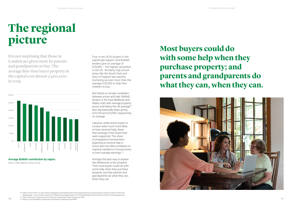**10** 

# **The regional picture**

It is not surprising that those in London are given more by parents and grandparents to buy. The average frst-time buyer property in the capital cost almost  $\mathcal{L}$ 400,000 in 2019.



**Average BoMaD contribution by region.** 

Source: Cebr analysis, YouGov survey

prices well below the UK average11<br>also dig especially deep, giving But there's no simple correlation between prices and help: BoMaD lenders in the East Midlands and Wales, both with average property £24,100 and £23,900, respectively, on average.

Likewise, while recent buyers in London were much more likely to have received help, fewer than average in the South East were supported. The share of prospective homeowners expecting to receive help in future also has little correlation to regional variations in house prices or even average earnings.<sup>12</sup>

Four in ten (41%) buyers in the capital get support and BoMaD lenders give an average of £25,800 – the highest anywhere in the UK. Similarly, high priced areas like the South East and East of England see parents stumping up even more than the average £20,000 to help their children to buy.

Perhaps the best way to explain the differences is the simplest: That most buyers could do with some help when they purchase property; and that parents and grandparents do what they can, when they can.

10. https://www.which.co.uk/money/mortgages-and-property/first-time-buyers/buying-a-home/buying-a-house-or-flat-in-london-arf 8g3r8sxpp#:~:text=In%20London%2C%20the%20average%20first,137%2C900%20and%20%C2%A3123%2C756%20respectively.

11. https://www.gov.uk/government/news/uk-house-price-index-for-january-2020

12. https://commonslibrary.parliament.uk/research-briefings/cbp-8456/

### **Most buyers could do with some help when they purchase property; and parents and grandparents do what they can, when they can.**

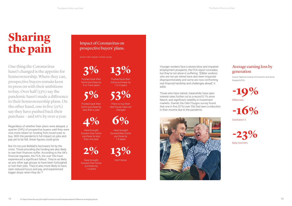# **Sharing the pain**

One thing the Coronavirus hasn't changed is the appetite for homeownership. Where they can, prospective buyers remain keen to press on with their ambitions to buy. Over half (53%) say the pandemic hasn't made a diference to their homeownership plans. On the other hand, one in fve (21%) say they have pushed back their purchase – and 16% by over a year.

But it's not just BoMaD's borrowers hit by the crisis. Those providing the funding are also likely to see their finances suffer. According to the UK's financial regulator, the FCA, the over 55s have experienced a significant fallout. They're as likely as any other age groups to have been furloughed or lost their jobs. They're also more likely to have seen reduced hours and pay, and experienced bigger drops when they do.<sup>13</sup>

Regardless of whether their plans were delayed, a quarter (24%) of prospective buyers said they were now more reliant on funding from loved ones to buy. With the pandemic's full impact on jobs and pay yet to be felt, these figures could grow.

### Impact of Coronavirus on prospective buyers' plans.

Source: Cebr analysis, YouGov survey



Pushed back their home purchase by 5 or more years



Pushed back their home purchase by less than a year



Have brought forward their home purchase by less than one year



Have brought forward their home purchase by 1-4 years

**13%**  Pushed back their home purchase by

1 to 4 years

**53%** 

Plans to buy their next house have not changed



Have brought forward their home purchase by 1-4 years



Don't know

Younger workers face a severe blow and impaired employment prospects, the FCA report concedes, but they're not alone in suffering. "[O]lder workers who are not yet retired have also been impacted disproportionately and some are now confronting real financial hardship and challenges ahead," it adds.

Those who have retired, meanwhile, have seen interest rates further cut to a record 0.1% since March, and significant volatility in investment markets. Overall, the Cebr/Yougov survey found that one in five (21%) over 55s had seen a reduction in their income due to the pandemic.



### Average earning loss by generation

Source: National Institute of Economic and Social Research/FCA



Millennials



Generation X

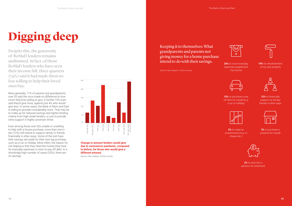# **Digging deep**

Despite this, the generosity of BoMaD lenders remains undimmed. In fact, of those BoMaD lenders who have seen their income fall, three quarters (74%) said it had made them no less willing to help their loved ones buy.

More generally, 71% of parents and grandparents over 55 said the virus made no difference to how much they'd be willing to give. A further 15% even said they'd give more, against just 4% who would give less. In some cases, the Bank of Mum and Dad is willing to provide considerably more. That may be to make up for reduced savings and tighter lending criteria from high street lenders, or just to provide extra support in highly uncertain times.

Even among those over 55s unable or unwilling to help with a house purchase, more than one in ten (12%) still intend to support family or friends financially in other ways. Some of the rest have their savings set aside for their own big purchase, such as a car or holiday. More often, the reason for not helping is that they need the money they have for everyday expenses or even to pay off debt. In a shockingly high number of cases (32%), there are no savings.



**Change in amount lenders would give due to coronavirus pandemic, compared to before, for those who would give a different amount.** 

Source: Cebr analysis, YouGov survey

### Keeping it to themselves: What grandparents and parents not giving money for a home purchase intend to do with their savings.

Source: Cebr analysis, YouGov survey

**25%** to cover everyday expenses/supplement my income



**15%** to purchase a one off item for myself (e.g. a car or holiday)



**5%** to make an investment(s) (e.g. in shares etc.)



**19%** for refurbishment of my own property



**12%** to financially support my family/ friends in other ways



**3%** to purchase a property for myself



**2%** to save into a pension for retirement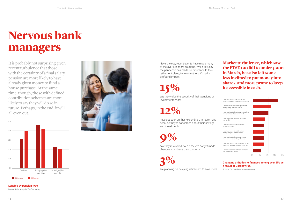# **Nervous bank managers**

It is probably not surprising given recent turbulence that those with the certainty of a final salary pension are more likely to have already given money to fund a house purchase. At the same time, though, those with defned contribution schemes are more likely to say they will do so in future. Perhaps, in the end, it will all even out.





**Lending by pension type.**  Source: Cebr analysis, YouGov survey Nevertheless, recent events have made many of the over 55s more cautious. While 55% say the pandemic has made no difference to their retirement plans, for many others it's had a profound impact:

**15%**  say they value the security of their pensions or investments more

**12%** 

have cut back on their expenditure in retirement because they're concerned about their savings and investments

**9%** 

say they're worried even if they've not yet made changes to address their concerns

**3%** 

are planning on delaying retirement to save more.

#### **Market turbulence, which saw the FTSE 100 fall to under 5,000 in March, has also left some less inclined to put money into shares, and more prone to keep it accessible in cash.**



#### **Changing attitudes to finances among over 55s as a result of Coronavirus.**

Source: Cebr analysis, YouGov survey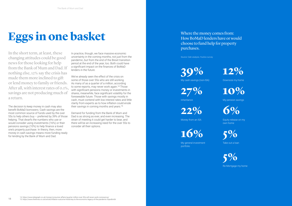# **Eggs in one basket**

In the short term, at least, these changing attitudes could be good news for those looking for help from the Bank of Mum and Dad. If nothing else, 12% say the crisis has made them more inclined to gift or lend money to family or friends. After all, with interest rates of 0.1%, savings are not producing much of a return.

We've already seen the effect of the crisis on some of those over 55s who are still working. As many of as a quarter of a million, according to some reports, may never work again.<sup>14</sup> Those with significant pensions money or investments in shares, meanwhile, face significant volatility for the foreseeable future. Those with savings mostly in cash, must contend with low interest rates and little clarity from experts as to how inflation could erode their savings in coming months and years.<sup>15</sup>

The decision to keep money in cash may also benefit BoMaD borrowers. Cash savings are the most common source of funds used by the over 55s to help others buy – preferred by 39% of those helping. That dwarfs the numbers who use or would consider using investments (16%) or their pensions savings (10%) to help finance a loved one's property purchase. In theory, then, more money in cash savings means more funding ready for lending by the Bank of Mum and Dad.

In practice, though, we face massive economic uncertainty in the coming months, not just from the pandemic, but from the end of the Brexit transition period at the end of the year, too. Both could have a significant impact on the finances of BoMaD lenders in the future.

Demand for funding from the Bank of Mum and Dad is as strong as ever, and even increasing. The strain of meeting it could get harder to bear, and there will be an increasing need for the over 55s to consider all their options.

Where the money comes from: How BoMaD lenders have or would choose to fund help for property purchases.

Source: Cebr analysis, YouGov survey



**27%** 

Inheritance

**22%** 

Money from an ISA



My general investment portfolio



Downsize my home



My pension savings



Equity release on my own home



Take out a loan

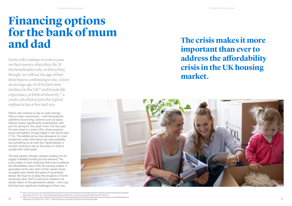## **Financing options for the bank of mum and dad**

Some will continue to wait to pass on their money when they die. If the beneficiaries rely on this to buy, though, we will see the age of firsttime buyers continuing to rise. Given an average age of 28 for frst time mothers in the UK<sup>16</sup> and female life expectancy at birth of about  $83$ ,<sup>17</sup> a crude calculation puts the typical orphan in his or her mid-50s.

Others will continue to rely on cash savings, ISAs or other investments – with the potential problems those bring. Options such as equity release remain significantly underutilised, with just 6% opting for this, down from 16% last year. It's even lower in London (3%), where property prices are highest, though higher in the South East (11%). The additional tax-free allowance for main residences under inheritance tax rules probably has something to do with this. Nevertheless, it remains striking to see so few draw on what is usually their main asset.

The real solution, though, remains tackling not the supply of BoMaD funding but the demand. The crisis makes it more important than ever to address the affordability crisis in the UK housing market. A generation at the very start of their careers faces a tougher jobs market and years of uncertainty ahead. We must try to keep the prospects of home ownership alive. And it must be an ambition not wholly reliant on the generations ahead  $-$  who may find they face significant challenges of their own.



<sup>16.</sup> https://www.ons.gov.uk/peoplepopulationandcommunity/birthsdeathsandmarriages/livebirths/bulletins/birthcharacteristicsinenglan dandwales/2017#:~:text=The%20average%20age%20of%20first,or%20subsequent%20births%20in%202017.

edkingdom/2015to2017#:~:text=1.-,Main%20points,and%2082.9%20years%20for%20females.

# **The crisis makes it more address the afordability crisis in the UK housing**

**important than ever to market.** 

<sup>15.</sup> https://www.ons.gov.uk/peoplepopulationandcommunity/birthsdeathsandmarriages/lifeexpectancies/bulletins/nationallifetablesunit